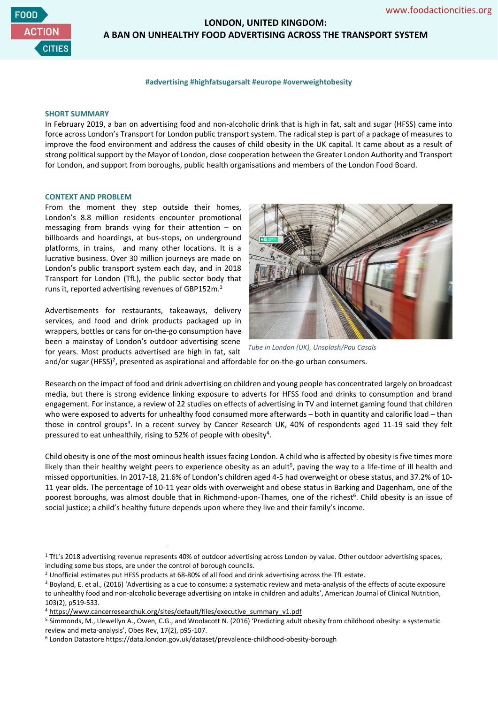

# **LONDON, UNITED KINGDOM: A BAN ON UNHEALTHY FOOD ADVERTISING ACROSS THE TRANSPORT SYSTEM**

#### **#advertising #highfatsugarsalt #europe #overweightobesity**

#### **SHORT SUMMARY**

In February 2019, a ban on advertising food and non-alcoholic drink that is high in fat, salt and sugar (HFSS) came into force across London's Transport for London public transport system. The radical step is part of a package of measures to improve the food environment and address the causes of child obesity in the UK capital. It came about as a result of strong political support by the Mayor of London, close cooperation between the Greater London Authority and Transport for London, and support from boroughs, public health organisations and members of the London Food Board.

### **CONTEXT AND PROBLEM**

From the moment they step outside their homes, London's 8.8 million residents encounter promotional messaging from brands vying for their attention – on billboards and hoardings, at bus-stops, on underground platforms, in trains, and many other locations. It is a lucrative business. Over 30 million journeys are made on London's public transport system each day, and in 2018 Transport for London (TfL), the public sector body that runs it, reported advertising revenues of GBP152m.<sup>1</sup>

Advertisements for restaurants, takeaways, delivery services, and food and drink products packaged up in wrappers, bottles or cans for on-the-go consumption have been a mainstay of London's outdoor advertising scene for years. Most products advertised are high in fat, salt



*Tube in London (UK), Unsplash/Pau Casals*

and/or sugar (HFSS)<sup>2</sup>, presented as aspirational and affordable for on-the-go urban consumers.

Research on the impact of food and drink advertising on children and young people has concentrated largely on broadcast media, but there is strong evidence linking exposure to adverts for HFSS food and drinks to consumption and brand engagement. For instance, a review of 22 studies on effects of advertising in TV and internet gaming found that children who were exposed to adverts for unhealthy food consumed more afterwards – both in quantity and calorific load – than those in control groups<sup>3</sup>. In a recent survey by Cancer Research UK, 40% of respondents aged 11-19 said they felt pressured to eat unhealthily, rising to 52% of people with obesity<sup>4</sup>.

Child obesity is one of the most ominous health issues facing London. A child who is affected by obesity is five times more likely than their healthy weight peers to experience obesity as an adult<sup>5</sup>, paving the way to a life-time of ill health and missed opportunities. In 2017-18, 21.6% of London's children aged 4-5 had overweight or obese status, and 37.2% of 10- 11 year olds. The percentage of 10-11 year olds with overweight and obese status in Barking and Dagenham, one of the poorest boroughs, was almost double that in Richmond-upon-Thames, one of the richest<sup>6</sup>. Child obesity is an issue of social justice; a child's healthy future depends upon where they live and their family's income.

<sup>&</sup>lt;sup>1</sup> TfL's 2018 advertising revenue represents 40% of outdoor advertising across London by value. Other outdoor advertising spaces, including some bus stops, are under the control of borough councils.

<sup>&</sup>lt;sup>2</sup> Unofficial estimates put HFSS products at 68-80% of all food and drink advertising across the TfL estate.

<sup>&</sup>lt;sup>3</sup> Boyland, E. et al., (2016) 'Advertising as a cue to consume: a systematic review and meta-analysis of the effects of acute exposure to unhealthy food and non-alcoholic beverage advertising on intake in children and adults', American Journal of Clinical Nutrition, 103(2), p519-533.

<sup>&</sup>lt;sup>4</sup> https://www.cancerresearchuk.org/sites/default/files/executive\_summary\_v1.pdf

<sup>5</sup> Simmonds, M., Llewellyn A., Owen, C.G., and Woolacott N. (2016) 'Predicting adult obesity from childhood obesity: a systematic review and meta-analysis', Obes Rev, 17(2), p95-107.

<sup>&</sup>lt;sup>6</sup> London Datastore https://data.london.gov.uk/dataset/prevalence-childhood-obesity-borough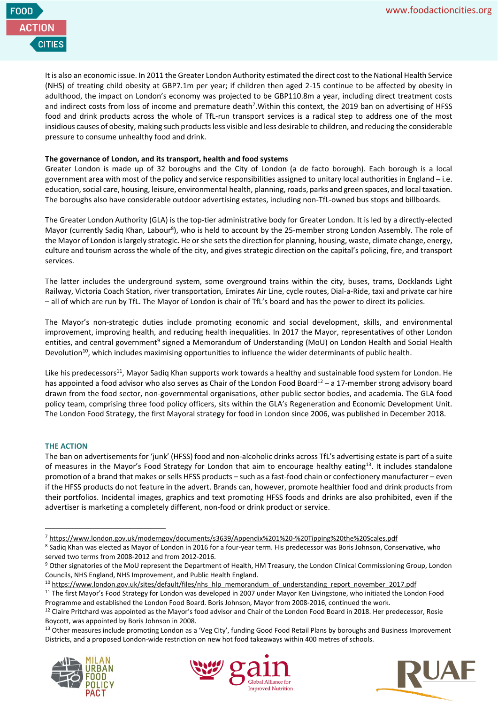

It is also an economic issue. In 2011 the Greater London Authority estimated the direct cost to the National Health Service (NHS) of treating child obesity at GBP7.1m per year; if children then aged 2-15 continue to be affected by obesity in adulthood, the impact on London's economy was projected to be GBP110.8m a year, including direct treatment costs and indirect costs from loss of income and premature death<sup>7</sup>. Within this context, the 2019 ban on advertising of HFSS food and drink products across the whole of TfL-run transport services is a radical step to address one of the most insidious causes of obesity, making such products less visible and less desirable to children, and reducing the considerable pressure to consume unhealthy food and drink.

## **The governance of London, and its transport, health and food systems**

Greater London is made up of 32 boroughs and the City of London (a de facto borough). Each borough is a local government area with most of the policy and service responsibilities assigned to unitary local authorities in England – i.e. education, social care, housing, leisure, environmental health, planning, roads, parks and green spaces, and local taxation. The boroughs also have considerable outdoor advertising estates, including non-TfL-owned bus stops and billboards.

The Greater London Authority (GLA) is the top-tier administrative body for Greater London. It is led by a directly-elected Mayor (currently Sadiq Khan, Labour<sup>8</sup>), who is held to account by the 25-member strong London Assembly. The role of the Mayor of London is largely strategic. He or she sets the direction for planning, housing, waste, climate change, energy, culture and tourism across the whole of the city, and gives strategic direction on the capital's policing, fire, and transport services.

The latter includes the underground system, some overground trains within the city, buses, trams, Docklands Light Railway, Victoria Coach Station, river transportation, Emirates Air Line, cycle routes, Dial-a-Ride, taxi and private car hire – all of which are run by TfL. The Mayor of London is chair of TfL's board and has the power to direct its policies.

The Mayor's non-strategic duties include promoting economic and social development, skills, and environmental improvement, improving health, and reducing health inequalities. In 2017 the Mayor, representatives of other London entities, and central government<sup>9</sup> signed a Memorandum of Understanding (MoU) on London Health and Social Health Devolution<sup>10</sup>, which includes maximising opportunities to influence the wider determinants of public health.

Like his predecessors<sup>11</sup>, Mayor Sadiq Khan supports work towards a healthy and sustainable food system for London. He has appointed a food advisor who also serves as Chair of the London Food Board<sup>12</sup> – a 17-member strong advisory board drawn from the food sector, non-governmental organisations, other public sector bodies, and academia. The GLA food policy team, comprising three food policy officers, sits within the GLA's Regeneration and Economic Development Unit. The London Food Strategy, the first Mayoral strategy for food in London since 2006, was published in December 2018.

## **THE ACTION**

The ban on advertisements for 'junk' (HFSS) food and non-alcoholic drinks across TfL's advertising estate is part of a suite of measures in the Mayor's Food Strategy for London that aim to encourage healthy eating<sup>13</sup>. It includes standalone promotion of a brand that makes or sells HFSS products – such as a fast-food chain or confectionery manufacturer – even if the HFSS products do not feature in the advert. Brands can, however, promote healthier food and drink products from their portfolios. Incidental images, graphics and text promoting HFSS foods and drinks are also prohibited, even if the advertiser is marketing a completely different, non-food or drink product or service.

<sup>&</sup>lt;sup>13</sup> Other measures include promoting London as a 'Veg City', funding Good Food Retail Plans by boroughs and Business Improvement Districts, and a proposed London-wide restriction on new hot food takeaways within 400 metres of schools.







<sup>7</sup> <https://www.london.gov.uk/moderngov/documents/s3639/Appendix%201%20-%20Tipping%20the%20Scales.pdf>

<sup>&</sup>lt;sup>8</sup> Sadiq Khan was elected as Mayor of London in 2016 for a four-year term. His predecessor was Boris Johnson, Conservative, who served two terms from 2008-2012 and from 2012-2016.

<sup>&</sup>lt;sup>9</sup> Other signatories of the MoU represent the Department of Health, HM Treasury, the London Clinical Commissioning Group, London Councils, NHS England, NHS Improvement, and Public Health England.

<sup>&</sup>lt;sup>10</sup> https://www.london.gov.uk/sites/default/files/nhs\_hlp\_memorandum\_of\_understanding\_report\_november\_2017.pdf

<sup>&</sup>lt;sup>11</sup> The first Mayor's Food Strategy for London was developed in 2007 under Mayor Ken Livingstone, who initiated the London Food Programme and established the London Food Board. Boris Johnson, Mayor from 2008-2016, continued the work.

<sup>&</sup>lt;sup>12</sup> Claire Pritchard was appointed as the Mayor's food advisor and Chair of the London Food Board in 2018. Her predecessor, Rosie Boycott, was appointed by Boris Johnson in 2008.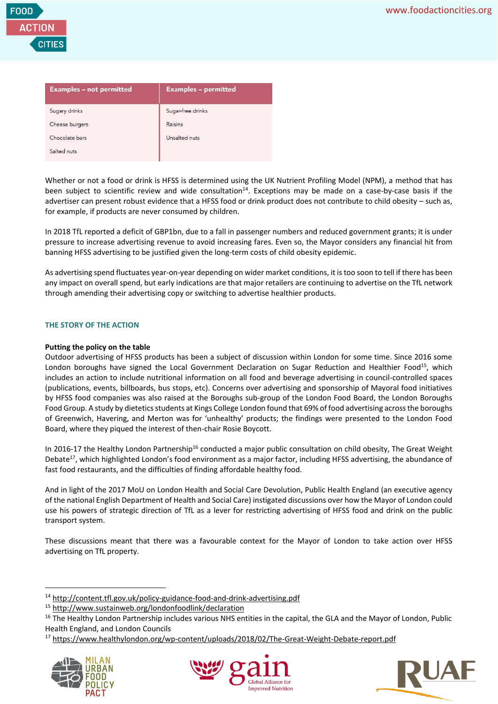

| <b>Examples - not permitted</b> | <b>Examples - permitted</b> |
|---------------------------------|-----------------------------|
| Sugary drinks                   | Sugar-free drinks           |
| Cheese burgers                  | Raisins                     |
| Chocolate bars                  | Unsalted nuts               |
| Salted nuts                     |                             |

Whether or not a food or drink is HFSS is determined using the UK Nutrient Profiling Model (NPM), a method that has been subject to scientific review and wide consultation<sup>14</sup>. Exceptions may be made on a case-by-case basis if the advertiser can present robust evidence that a HFSS food or drink product does not contribute to child obesity – such as, for example, if products are never consumed by children.

In 2018 TfL reported a deficit of GBP1bn, due to a fall in passenger numbers and reduced government grants; it is under pressure to increase advertising revenue to avoid increasing fares. Even so, the Mayor considers any financial hit from banning HFSS advertising to be justified given the long-term costs of child obesity epidemic.

As advertising spend fluctuates year-on-year depending on wider market conditions, it is too soon to tell if there has been any impact on overall spend, but early indications are that major retailers are continuing to advertise on the TfL network through amending their advertising copy or switching to advertise healthier products.

## **THE STORY OF THE ACTION**

## **Putting the policy on the table**

Outdoor advertising of HFSS products has been a subject of discussion within London for some time. Since 2016 some London boroughs have signed the Local Government Declaration on Sugar Reduction and Healthier Food<sup>15</sup>, which includes an action to include nutritional information on all food and beverage advertising in council-controlled spaces (publications, events, billboards, bus stops, etc). Concerns over advertising and sponsorship of Mayoral food initiatives by HFSS food companies was also raised at the Boroughs sub-group of the London Food Board, the London Boroughs Food Group. A study by dietetics students at Kings College London found that 69% of food advertising across the boroughs of Greenwich, Havering, and Merton was for 'unhealthy' products; the findings were presented to the London Food Board, where they piqued the interest of then-chair Rosie Boycott.

In 2016-17 the Healthy London Partnership<sup>16</sup> conducted a major public consultation on child obesity, The Great Weight Debate<sup>17</sup>, which highlighted London's food environment as a major factor, including HFSS advertising, the abundance of fast food restaurants, and the difficulties of finding affordable healthy food.

And in light of the 2017 MoU on London Health and Social Care Devolution, Public Health England (an executive agency of the national English Department of Health and Social Care) instigated discussions over how the Mayor of London could use his powers of strategic direction of TfL as a lever for restricting advertising of HFSS food and drink on the public transport system.

These discussions meant that there was a favourable context for the Mayor of London to take action over HFSS advertising on TfL property.

<sup>17</sup> https://www.healthylondon.org/wp-content/uploads/2018/02/The-Great-Weight-Debate-report.pdf







<sup>14</sup> <http://content.tfl.gov.uk/policy-guidance-food-and-drink-advertising.pdf>

<sup>15</sup> <http://www.sustainweb.org/londonfoodlink/declaration>

<sup>&</sup>lt;sup>16</sup> The Healthy London Partnership includes various NHS entities in the capital, the GLA and the Mayor of London, Public Health England, and London Councils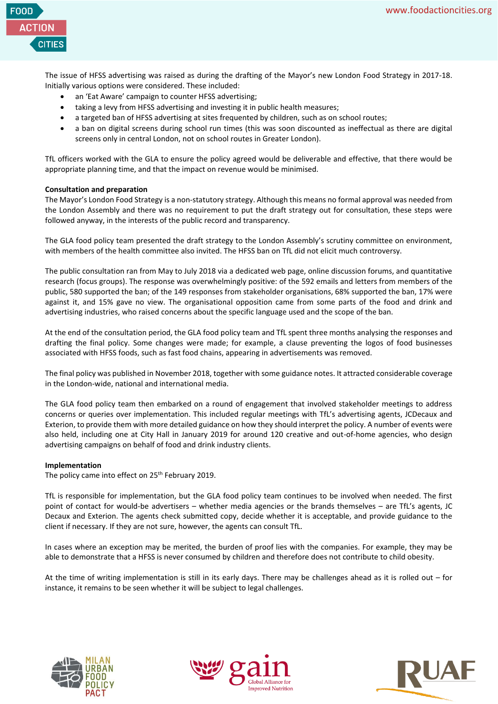

The issue of HFSS advertising was raised as during the drafting of the Mayor's new London Food Strategy in 2017-18. Initially various options were considered. These included:

- an 'Eat Aware' campaign to counter HFSS advertising;
- taking a levy from HFSS advertising and investing it in public health measures;
- a targeted ban of HFSS advertising at sites frequented by children, such as on school routes;
- a ban on digital screens during school run times (this was soon discounted as ineffectual as there are digital screens only in central London, not on school routes in Greater London).

TfL officers worked with the GLA to ensure the policy agreed would be deliverable and effective, that there would be appropriate planning time, and that the impact on revenue would be minimised.

## **Consultation and preparation**

The Mayor's London Food Strategy is a non-statutory strategy. Although this means no formal approval was needed from the London Assembly and there was no requirement to put the draft strategy out for consultation, these steps were followed anyway, in the interests of the public record and transparency.

The GLA food policy team presented the draft strategy to the London Assembly's scrutiny committee on environment, with members of the health committee also invited. The HFSS ban on TfL did not elicit much controversy.

The public consultation ran from May to July 2018 via a dedicated web page, online discussion forums, and quantitative research (focus groups). The response was overwhelmingly positive: of the 592 emails and letters from members of the public, 580 supported the ban; of the 149 responses from stakeholder organisations, 68% supported the ban, 17% were against it, and 15% gave no view. The organisational opposition came from some parts of the food and drink and advertising industries, who raised concerns about the specific language used and the scope of the ban.

At the end of the consultation period, the GLA food policy team and TfL spent three months analysing the responses and drafting the final policy. Some changes were made; for example, a clause preventing the logos of food businesses associated with HFSS foods, such as fast food chains, appearing in advertisements was removed.

The final policy was published in November 2018, together with some guidance notes. It attracted considerable coverage in the London-wide, national and international media.

The GLA food policy team then embarked on a round of engagement that involved stakeholder meetings to address concerns or queries over implementation. This included regular meetings with TfL's advertising agents, JCDecaux and Exterion, to provide them with more detailed guidance on how they should interpret the policy. A number of events were also held, including one at City Hall in January 2019 for around 120 creative and out-of-home agencies, who design advertising campaigns on behalf of food and drink industry clients.

### **Implementation**

The policy came into effect on 25<sup>th</sup> February 2019.

TfL is responsible for implementation, but the GLA food policy team continues to be involved when needed. The first point of contact for would-be advertisers – whether media agencies or the brands themselves – are TfL's agents, JC Decaux and Exterion. The agents check submitted copy, decide whether it is acceptable, and provide guidance to the client if necessary. If they are not sure, however, the agents can consult TfL.

In cases where an exception may be merited, the burden of proof lies with the companies. For example, they may be able to demonstrate that a HFSS is never consumed by children and therefore does not contribute to child obesity.

At the time of writing implementation is still in its early days. There may be challenges ahead as it is rolled out – for instance, it remains to be seen whether it will be subject to legal challenges.





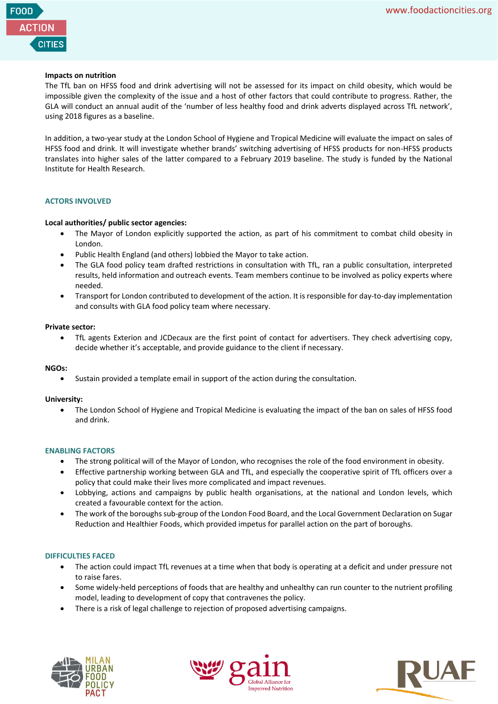

## **Impacts on nutrition**

The TfL ban on HFSS food and drink advertising will not be assessed for its impact on child obesity, which would be impossible given the complexity of the issue and a host of other factors that could contribute to progress. Rather, the GLA will conduct an annual audit of the 'number of less healthy food and drink adverts displayed across TfL network', using 2018 figures as a baseline.

In addition, a two-year study at the London School of Hygiene and Tropical Medicine will evaluate the impact on sales of HFSS food and drink. It will investigate whether brands' switching advertising of HFSS products for non-HFSS products translates into higher sales of the latter compared to a February 2019 baseline. The study is funded by the National Institute for Health Research.

## **ACTORS INVOLVED**

## **Local authorities/ public sector agencies:**

- The Mayor of London explicitly supported the action, as part of his commitment to combat child obesity in London.
- Public Health England (and others) lobbied the Mayor to take action.
- The GLA food policy team drafted restrictions in consultation with TfL, ran a public consultation, interpreted results, held information and outreach events. Team members continue to be involved as policy experts where needed.
- Transport for London contributed to development of the action. It is responsible for day-to-day implementation and consults with GLA food policy team where necessary.

### **Private sector:**

• TfL agents Exterion and JCDecaux are the first point of contact for advertisers. They check advertising copy, decide whether it's acceptable, and provide guidance to the client if necessary.

### **NGOs:**

• Sustain provided a template email in support of the action during the consultation.

### **University:**

• The London School of Hygiene and Tropical Medicine is evaluating the impact of the ban on sales of HFSS food and drink.

### **ENABLING FACTORS**

- The strong political will of the Mayor of London, who recognises the role of the food environment in obesity.
- Effective partnership working between GLA and TfL, and especially the cooperative spirit of TfL officers over a policy that could make their lives more complicated and impact revenues.
- Lobbying, actions and campaigns by public health organisations, at the national and London levels, which created a favourable context for the action.
- The work of the boroughs sub-group of the London Food Board, and the Local Government Declaration on Sugar Reduction and Healthier Foods, which provided impetus for parallel action on the part of boroughs.

### **DIFFICULTIES FACED**

- The action could impact TfL revenues at a time when that body is operating at a deficit and under pressure not to raise fares.
- Some widely-held perceptions of foods that are healthy and unhealthy can run counter to the nutrient profiling model, leading to development of copy that contravenes the policy.
- There is a risk of legal challenge to rejection of proposed advertising campaigns.